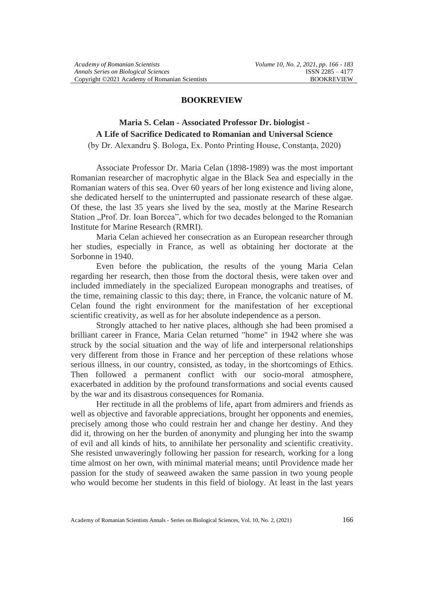### **BOOKREVIEW**

# **Maria S. Celan - Associated Professor Dr. biologist - A Life of Sacrifice Dedicated to Romanian and Universal Science**

(by Dr. Alexandru Ş. Bologa, Ex. Ponto Printing House, Constanţa, 2020)

Associate Professor Dr. Maria Celan (1898-1989) was the most important Romanian researcher of macrophytic algae in the Black Sea and especially in the Romanian waters of this sea. Over 60 years of her long existence and living alone, she dedicated herself to the uninterrupted and passionate research of these algae. Of these, the last 35 years she lived by the sea, mostly at the Marine Research Station "Prof. Dr. Ioan Borcea", which for two decades belonged to the Romanian Institute for Marine Research (RMRI).

Maria Celan achieved her consecration as an European researcher through her studies, especially in France, as well as obtaining her doctorate at the Sorbonne in 1940.

Even before the publication, the results of the young Maria Celan regarding her research, then those from the doctoral thesis, were taken over and included immediately in the specialized European monographs and treatises, of the time, remaining classic to this day; there, in France, the volcanic nature of M. Celan found the right environment for the manifestation of her exceptional scientific creativity, as well as for her absolute independence as a person.

Strongly attached to her native places, although she had been promised a brilliant career in France, Maria Celan returned "home" in 1942 where she was struck by the social situation and the way of life and interpersonal relationships very different from those in France and her perception of these relations whose serious illness, in our country, consisted, as today, in the shortcomings of Ethics. Then followed a permanent conflict with our socio-moral atmosphere, exacerbated in addition by the profound transformations and social events caused by the war and its disastrous consequences for Romania.

Her rectitude in all the problems of life, apart from admirers and friends as well as objective and favorable appreciations, brought her opponents and enemies, precisely among those who could restrain her and change her destiny. And they did it, throwing on her the burden of anonymity and plunging her into the swamp of evil and all kinds of hits, to annihilate her personality and scientific creativity. She resisted unwaveringly following her passion for research, working for a long time almost on her own, with minimal material means; until Providence made her passion for the study of seaweed awaken the same passion in two young people who would become her students in this field of biology. At least in the last years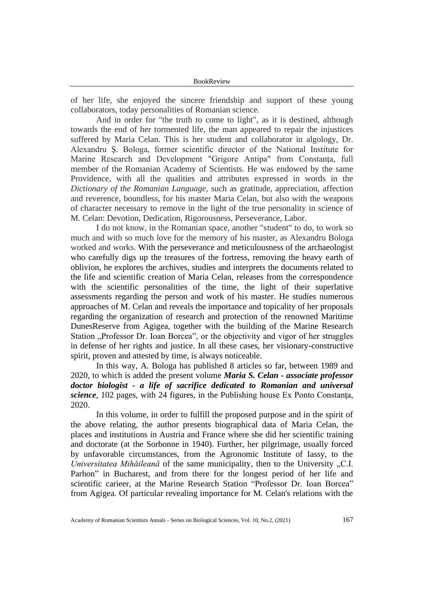of her life, she enjoyed the sincere friendship and support of these young collaborators, today personalities of Romanian science.

And in order for "the truth to come to light", as it is destined, although towards the end of her tormented life, the man appeared to repair the injustices suffered by Maria Celan. This is her student and collaborator in algology, Dr. Alexandru Ş. Bologa, former scientific director of the National Institute for Marine Research and Development "Grigore Antipa" from Constanta, full member of the Romanian Academy of Scientists. He was endowed by the same Providence, with all the qualities and attributes expressed in words in the *Dictionary of the Romanian Language*, such as gratitude, appreciation, affection and reverence, boundless, for his master Maria Celan, but also with the weapons of character necessary to remove in the light of the true personality in science of M. Celan: Devotion, Dedication, Rigorousness, Perseverance, Labor.

I do not know, in the Romanian space, another "student" to do, to work so much and with so much love for the memory of his master, as Alexandru Bologa worked and works. With the perseverance and meticulousness of the archaeologist who carefully digs up the treasures of the fortress, removing the heavy earth of oblivion, he explores the archives, studies and interprets the documents related to the life and scientific creation of Maria Celan, releases from the correspondence with the scientific personalities of the time, the light of their superlative assessments regarding the person and work of his master. He studies numerous approaches of M. Celan and reveals the importance and topicality of her proposals regarding the organization of research and protection of the renowned Maritime DunesReserve from Agigea, together with the building of the Marine Research Station "Professor Dr. Ioan Borcea", or the objectivity and vigor of her struggles in defense of her rights and justice. In all these cases, her visionary-constructive spirit, proven and attested by time, is always noticeable.

In this way, A. Bologa has published 8 articles so far, between 1989 and 2020, to which is added the present volume *Maria S. Celan - associate professor doctor biologist - a life of sacrifice dedicated to Romanian and universal science*, 102 pages, with 24 figures, in the Publishing house Ex Ponto Constanta, 2020.

In this volume, in order to fulfill the proposed purpose and in the spirit of the above relating, the author presents biographical data of Maria Celan, the places and institutions in Austria and France where she did her scientific training and doctorate (at the Sorbonne in 1940). Further, her pilgrimage, usually forced by unfavorable circumstances, from the Agronomic Institute of Iassy, to the *Universitatea Mihăileană* of the same municipality, then to the University "C.I. Parhon" in Bucharest, and from there for the longest period of her life and scientific carieer, at the Marine Research Station "Professor Dr. Ioan Borcea" from Agigea. Of particular revealing importance for M. Celan's relations with the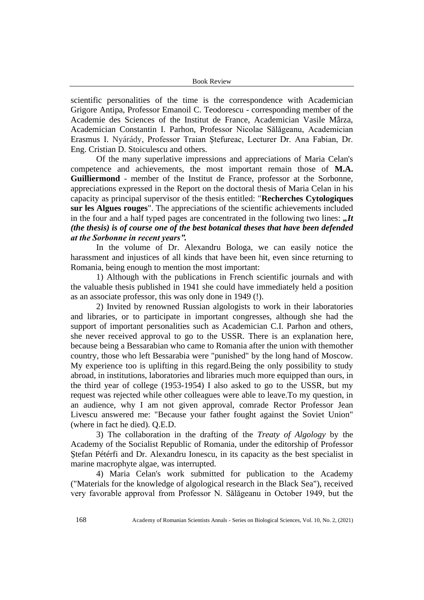scientific personalities of the time is the correspondence with Academician Grigore Antipa, Professor Emanoil C. Teodorescu - corresponding member of the Academie des Sciences of the Institut de France, Academician Vasile Mârza, Academician Constantin I. Parhon, Professor Nicolae Sălăgeanu, Academician Erasmus I. Nyárády, Professor Traian Ştefureac, Lecturer Dr. Ana Fabian, Dr. Eng. Cristian D. Stoiculescu and others.

Of the many superlative impressions and appreciations of Maria Celan's competence and achievements, the most important remain those of **M.A. Guilliermond** - member of the Institut de France, professor at the Sorbonne, appreciations expressed in the Report on the doctoral thesis of Maria Celan in his capacity as principal supervisor of the thesis entitled: "**Recherches Cytologiques sur les Algues rouges**". The appreciations of the scientific achievements included in the four and a half typed pages are concentrated in the following two lines:  $J_t$ *(the thesis) is of course one of the best botanical theses that have been defended at the Sorbonne in recent years".*

In the volume of Dr. Alexandru Bologa, we can easily notice the harassment and injustices of all kinds that have been hit, even since returning to Romania, being enough to mention the most important:

1) Although with the publications in French scientific journals and with the valuable thesis published in 1941 she could have immediately held a position as an associate professor, this was only done in 1949 (!).

2) Invited by renowned Russian algologists to work in their laboratories and libraries, or to participate in important congresses, although she had the support of important personalities such as Academician C.I. Parhon and others, she never received approval to go to the USSR. There is an explanation here, because being a Bessarabian who came to Romania after the union with themother country, those who left Bessarabia were "punished" by the long hand of Moscow. My experience too is uplifting in this regard.Being the only possibility to study abroad, in institutions, laboratories and libraries much more equipped than ours, in the third year of college (1953-1954) I also asked to go to the USSR, but my request was rejected while other colleagues were able to leave.To my question, in an audience, why I am not given approval, comrade Rector Professor Jean Livescu answered me: "Because your father fought against the Soviet Union" (where in fact he died). Q.E.D.

3) The collaboration in the drafting of the *Treaty of Algology* by the Academy of the Socialist Republic of Romania, under the editorship of Professor Ştefan Pétérfi and Dr. Alexandru Ionescu, in its capacity as the best specialist in marine macrophyte algae, was interrupted.

4) Maria Celan's work submitted for publication to the Academy ("Materials for the knowledge of algological research in the Black Sea"), received very favorable approval from Professor N. Sălăgeanu in October 1949, but the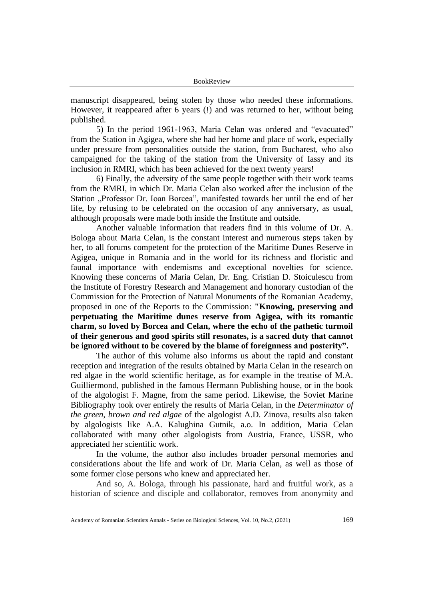manuscript disappeared, being stolen by those who needed these informations. However, it reappeared after 6 years (!) and was returned to her, without being published.

5) In the period 1961-1963, Maria Celan was ordered and "evacuated" from the Station in Agigea, where she had her home and place of work, especially under pressure from personalities outside the station, from Bucharest, who also campaigned for the taking of the station from the University of Iassy and its inclusion in RMRI, which has been achieved for the next twenty years!

6) Finally, the adversity of the same people together with their work teams from the RMRI, in which Dr. Maria Celan also worked after the inclusion of the Station "Professor Dr. Ioan Borcea", manifested towards her until the end of her life, by refusing to be celebrated on the occasion of any anniversary, as usual, although proposals were made both inside the Institute and outside.

Another valuable information that readers find in this volume of Dr. A. Bologa about Maria Celan, is the constant interest and numerous steps taken by her, to all forums competent for the protection of the Maritime Dunes Reserve in Agigea, unique in Romania and in the world for its richness and floristic and faunal importance with endemisms and exceptional novelties for science. Knowing these concerns of Maria Celan, Dr. Eng. Cristian D. Stoiculescu from the Institute of Forestry Research and Management and honorary custodian of the Commission for the Protection of Natural Monuments of the Romanian Academy, proposed in one of the Reports to the Commission: **"Knowing, preserving and perpetuating the Maritime dunes reserve from Agigea, with its romantic charm, so loved by Borcea and Celan, where the echo of the pathetic turmoil of their generous and good spirits still resonates, is a sacred duty that cannot be ignored without to be covered by the blame of foreignness and posterity".**

The author of this volume also informs us about the rapid and constant reception and integration of the results obtained by Maria Celan in the research on red algae in the world scientific heritage, as for example in the treatise of M.A. Guilliermond, published in the famous Hermann Publishing house, or in the book of the algologist F. Magne, from the same period. Likewise, the Soviet Marine Bibliography took over entirely the results of Maria Celan, in the *Determinator of the green, brown and red algae* of the algologist A.D. Zinova, results also taken by algologists like A.A. Kalughina Gutnik, a.o. In addition, Maria Celan collaborated with many other algologists from Austria, France, USSR, who appreciated her scientific work.

In the volume, the author also includes broader personal memories and considerations about the life and work of Dr. Maria Celan, as well as those of some former close persons who knew and appreciated her.

And so, A. Bologa, through his passionate, hard and fruitful work, as a historian of science and disciple and collaborator, removes from anonymity and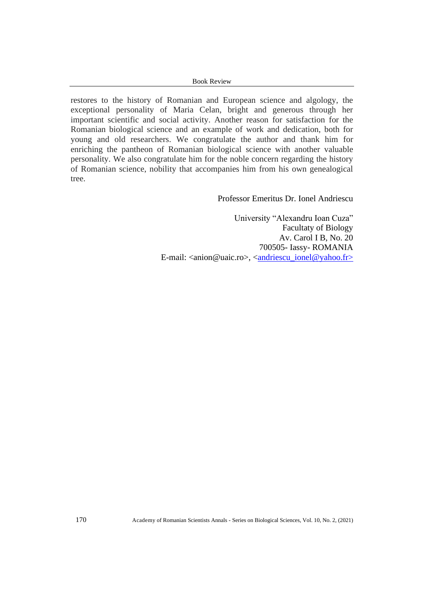#### Book Review

restores to the history of Romanian and European science and algology, the exceptional personality of Maria Celan, bright and generous through her important scientific and social activity. Another reason for satisfaction for the Romanian biological science and an example of work and dedication, both for young and old researchers. We congratulate the author and thank him for enriching the pantheon of Romanian biological science with another valuable personality. We also congratulate him for the noble concern regarding the history of Romanian science, nobility that accompanies him from his own genealogical tree.

### Professor Emeritus Dr. Ionel Andriescu

University "Alexandru Ioan Cuza" Facultaty of Biology Av. Carol I B, No. 20 700505- Iassy- ROMANIA E-mail: <anion@uaic.ro>, <<u>andriescu\_ionel@yahoo.fr</u>>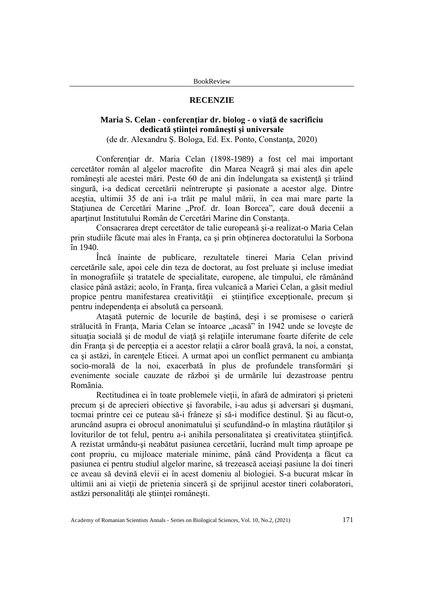#### **RECENZIE**

## **Maria S. Celan - conferenţiar dr. biolog - o viaţă de sacrificiu dedicată ştiinţei româneşti şi universale**

(de dr. Alexandru Ş. Bologa, Ed. Ex. Ponto, Constanţa, 2020)

Conferenţiar dr. Maria Celan (1898-1989) a fost cel mai important cercetător român al algelor macrofite din Marea Neagră şi mai ales din apele româneşti ale acestei mări. Peste 60 de ani din îndelungata sa existenţă şi trăind singură, i-a dedicat cercetării neîntrerupte şi pasionate a acestor alge. Dintre aceştia, ultimii 35 de ani i-a trăit pe malul mării, în cea mai mare parte la Stațiunea de Cercetări Marine "Prof. dr. Ioan Borcea", care două decenii a apartinut Institutului Român de Cercetări Marine din Constanta.

Consacrarea drept cercetător de talie europeană şi-a realizat-o Maria Celan prin studiile făcute mai ales în Franţa, ca şi prin obţinerea doctoratului la Sorbona în 1940.

Încă înainte de publicare, rezultatele tinerei Maria Celan privind cercetările sale, apoi cele din teza de doctorat, au fost preluate şi incluse imediat în monografiile şi tratatele de specialitate, europene, ale timpului, ele rămânând clasice până astăzi; acolo, în Franţa, firea vulcanică a Mariei Celan, a găsit mediul propice pentru manifestarea creativităţii ei ştiinţifice excepţionale, precum şi pentru independenţa ei absolută ca persoană.

Ataşată puternic de locurile de baştină, deşi i se promisese o carieră strălucită în Franța, Maria Celan se întoarce "acasă" în 1942 unde se lovește de situaţia socială şi de modul de viaţă şi relaţiile interumane foarte diferite de cele din Franța și de percepția ei a acestor relații a căror boală gravă, la noi, a constat, ca şi astăzi, în carenţele Eticei. A urmat apoi un conflict permanent cu ambianţa socio-morală de la noi, exacerbată în plus de profundele transformări şi evenimente sociale cauzate de război şi de urmările lui dezastroase pentru România.

Rectitudinea ei în toate problemele vieţii, în afară de admiratori şi prieteni precum şi de aprecieri obiective şi favorabile, i-au adus şi adversari şi duşmani, tocmai printre cei ce puteau să-i frâneze şi să-i modifice destinul. Şi au făcut-o, aruncând asupra ei obrocul anonimatului şi scufundând-o în mlaştina răutăţilor şi loviturilor de tot felul, pentru a-i anihila personalitatea și creativitatea științifică. A rezistat urmându-şi neabătut pasiunea cercetării, lucrând mult timp aproape pe cont propriu, cu mijloace materiale minime, până când Providenţa a făcut ca pasiunea ei pentru studiul algelor marine, să trezească aceiaşi pasiune la doi tineri ce aveau să devină elevii ei în acest domeniu al biologiei. S-a bucurat măcar în ultimii ani ai vieţii de prietenia sinceră şi de sprijinul acestor tineri colaboratori, astăzi personalităţi ale ştiinţei româneşti.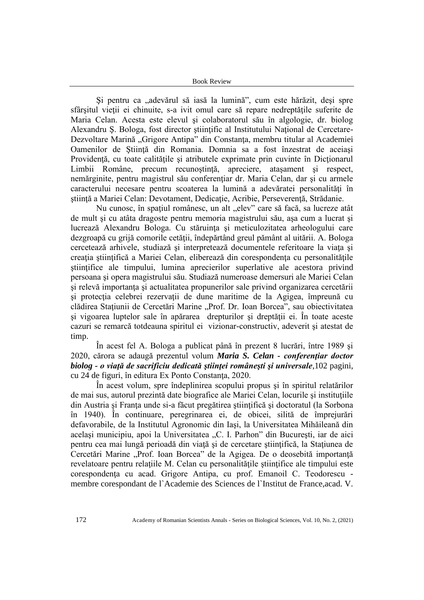#### Book Review

Şi pentru ca "adevărul să iasă la lumină", cum este hărăzit, deşi spre sfârșitul vietii ei chinuite, s-a ivit omul care să repare nedreptățile suferite de Maria Celan. Acesta este elevul şi colaboratorul său în algologie, dr. biolog Alexandru Ş. Bologa, fost director ştiinţific al Institutului Naţional de Cercetare-Dezvoltare Marină "Grigore Antipa" din Constanţa, membru titular al Academiei Oamenilor de Ştiinţă din Romania. Domnia sa a fost înzestrat de aceiaşi Providenţă, cu toate calităţile şi atributele exprimate prin cuvinte în Dicţionarul Limbii Române, precum recunoștință, apreciere, atașament și respect, nemărginite, pentru magistrul său conferenţiar dr. Maria Celan, dar şi cu armele caracterului necesare pentru scoaterea la lumină a adevăratei personalități în ştiinţă a Mariei Celan: Devotament, Dedicaţie, Acribie, Perseverenţă, Strădanie.

Nu cunosc, în spațiul românesc, un alt "elev" care să facă, sa lucreze atât de mult şi cu atâta dragoste pentru memoria magistrului său, aşa cum a lucrat şi lucrează Alexandru Bologa. Cu stăruinţa şi meticulozitatea arheologului care dezgroapă cu grijă comorile cetăţii, îndepărtând greul pământ al uitării. A. Bologa cercetează arhivele, studiază şi interpretează documentele referitoare la viaţa şi creatia științifică a Mariei Celan, eliberează din corespondența cu personalitățile ştiinţifice ale timpului, lumina aprecierilor superlative ale acestora privind persoana şi opera magistrului său. Studiază numeroase demersuri ale Mariei Celan şi relevă importanţa şi actualitatea propunerilor sale privind organizarea cercetării şi protecţia celebrei rezervaţii de dune maritime de la Agigea, împreună cu clădirea Stațiunii de Cercetări Marine "Prof. Dr. Ioan Borcea", sau obiectivitatea şi vigoarea luptelor sale în apărarea drepturilor şi dreptăţii ei. În toate aceste cazuri se remarcă totdeauna spiritul ei vizionar-constructiv, adeverit şi atestat de timp.

În acest fel A. Bologa a publicat până în prezent 8 lucrări, între 1989 şi 2020, cărora se adaugă prezentul volum *Maria S. Celan - conferenţiar doctor biolog - o viaţă de sacrificiu dedicată ştiinţei româneşti şi universale*,102 pagini, cu 24 de figuri, în editura Ex Ponto Constanţa, 2020.

În acest volum, spre îndeplinirea scopului propus şi în spiritul relatărilor de mai sus, autorul prezintă date biografice ale Mariei Celan, locurile şi instituţiile din Austria şi Franţa unde si-a făcut pregătirea ştiinţifică şi doctoratul (la Sorbona în 1940). În continuare, peregrinarea ei, de obicei, silită de împrejurări defavorabile, de la Institutul Agronomic din Iaşi, la Universitatea Mihăileană din același municipiu, apoi la Universitatea "C. I. Parhon" din București, iar de aici pentru cea mai lungă perioadă din viaţă şi de cercetare ştiinţifică, la Staţiunea de Cercetări Marine "Prof. Ioan Borcea" de la Agigea. De o deosebită importanță revelatoare pentru relaţiile M. Celan cu personalităţile ştiinţifice ale timpului este corespondenţa cu acad. Grigore Antipa, cu prof. Emanoil C. Teodorescu membre corespondant de l`Academie des Sciences de l`Institut de France,acad. V.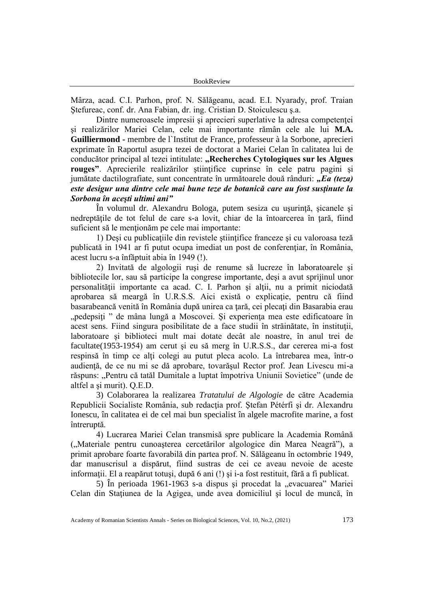Mârza, acad. C.I. Parhon, prof. N. Sălăgeanu, acad. E.I. Nyarady, prof. Traian Ştefureac, conf. dr. Ana Fabian, dr. ing. Cristian D. Stoiculescu ş.a.

Dintre numeroasele impresii şi aprecieri superlative la adresa competenţei şi realizărilor Mariei Celan, cele mai importante rămân cele ale lui **M.A. Guilliermond -** membre de l`Institut de France, professeur à la Sorbone, aprecieri exprimate în Raportul asupra tezei de doctorat a Mariei Celan în calitatea lui de conducător principal al tezei intitulate: "Recherches Cytologiques sur les Algues **rouges"**. Aprecierile realizărilor ştiinţifice cuprinse în cele patru pagini şi jumătate dactilografiate, sunt concentrate în următoarele două rânduri: *"Ea (teza) este desigur una dintre cele mai bune teze de botanică care au fost susţinute la Sorbona în aceşti ultimi ani"*

În volumul dr. Alexandru Bologa, putem sesiza cu uşurinţă, şicanele şi nedreptățile de tot felul de care s-a lovit, chiar de la întoarcerea în țară, fiind suficient să le menționăm pe cele mai importante:

1) Deşi cu publicaţiile din revistele ştiinţifice franceze şi cu valoroasa teză publicată in 1941 ar fi putut ocupa imediat un post de conferenţiar, în România, acest lucru s-a înfăptuit abia în 1949 (!).

2) Invitată de algologii ruşi de renume să lucreze în laboratoarele şi bibliotecile lor, sau să participe la congrese importante, deşi a avut sprijinul unor personalităţii importante ca acad. C. I. Parhon şi alţii, nu a primit niciodată aprobarea să meargă în U.R.S.S. Aici există o explicaţie, pentru că fiind basarabeancă venită în România după unirea ca ţară, cei plecaţi din Basarabia erau "pedepsiți " de mâna lungă a Moscovei. Și experiența mea este edificatoare în acest sens. Fiind singura posibilitate de a face studii în străinătate, în instituţii, laboratoare şi biblioteci mult mai dotate decât ale noastre, în anul trei de facultate(1953-1954) am cerut şi eu să merg în U.R.S.S., dar cererea mi-a fost respinsă în timp ce alți colegi au putut pleca acolo. La întrebarea mea, într-o audienţă, de ce nu mi se dă aprobare, tovarăşul Rector prof. Jean Livescu mi-a răspuns: "Pentru că tatăl Dumitale a luptat împotriva Uniunii Sovietice" (unde de altfel a şi murit). Q.E.D.

3) Colaborarea la realizarea *Tratatului de Algologie* de către Academia Republicii Socialiste România, sub redacţia prof. Ştefan Pétérfi şi dr. Alexandru Ionescu, în calitatea ei de cel mai bun specialist în algele macrofite marine, a fost întreruptă.

4) Lucrarea Mariei Celan transmisă spre publicare la Academia Română ("Materiale pentru cunoașterea cercetărilor algologice din Marea Neagră"), a primit aprobare foarte favorabilă din partea prof. N. Sălăgeanu în octombrie 1949, dar manuscrisul a dispărut, fiind sustras de cei ce aveau nevoie de aceste informaţii. El a reapărut totuşi, după 6 ani (!) şi i-a fost restituit, fără a fi publicat.

5) În perioada 1961-1963 s-a dispus și procedat la "evacuarea" Mariei Celan din Staţiunea de la Agigea, unde avea domiciliul şi locul de muncă, în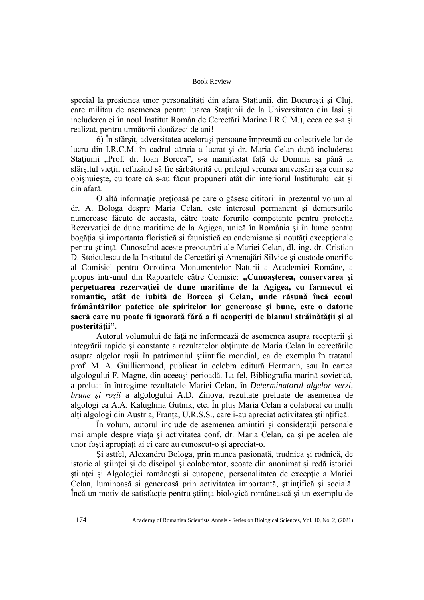special la presiunea unor personalități din afara Stațiunii, din București și Cluj, care militau de asemenea pentru luarea Statiunii de la Universitatea din Iasi si includerea ei în noul Institut Român de Cercetări Marine I.R.C.M.), ceea ce s-a şi realizat, pentru următorii douăzeci de ani!

6) În sfârşit, adversitatea aceloraşi persoane împreună cu colectivele lor de lucru din I.R.C.M. în cadrul căruia a lucrat şi dr. Maria Celan după includerea Stațiunii "Prof. dr. Ioan Borcea", s-a manifestat față de Domnia sa până la sfârșitul vieții, refuzând să fie sărbătorită cu prilejul vreunei aniversări asa cum se obişnuieşte, cu toate că s-au făcut propuneri atât din interiorul Institutului cât şi din afară.

O altă informaţie preţioasă pe care o găsesc cititorii în prezentul volum al dr. A. Bologa despre Maria Celan, este interesul permanent şi demersurile numeroase făcute de aceasta, către toate forurile competente pentru protecţia Rezervației de dune maritime de la Agigea, unică în România și în lume pentru bogăţia şi importanţa floristică şi faunistică cu endemisme şi noutăţi excepţionale pentru ştiinţă. Cunoscând aceste preocupări ale Mariei Celan, dl. ing. dr. Cristian D. Stoiculescu de la Institutul de Cercetări şi Amenajări Silvice şi custode onorific al Comisiei pentru Ocrotirea Monumentelor Naturii a Academiei Române, a propus într-unul din Rapoartele către Comisie: "Cunoașterea, conservarea și **perpetuarea rezervaţiei de dune maritime de la Agigea, cu farmecul ei romantic, atât de iubită de Borcea şi Celan, unde răsună încă ecoul frământărilor patetice ale spiritelor lor generoase şi bune, este o datorie sacră care nu poate fi ignorată fără a fi acoperiţi de blamul străinătăţii şi al posterităţii".**

Autorul volumului de faţă ne informează de asemenea asupra receptării şi integrării rapide şi constante a rezultatelor obţinute de Maria Celan în cercetările asupra algelor roşii în patrimoniul ştiinţific mondial, ca de exemplu în tratatul prof. M. A. Guilliermond, publicat în celebra editură Hermann, sau în cartea algologului F. Magne, din aceeaşi perioadă. La fel, Bibliografia marină sovietică, a preluat în întregime rezultatele Mariei Celan, în *Determinatorul algelor verzi, brune şi roşii* a algologului A.D. Zinova, rezultate preluate de asemenea de algologi ca A.A. Kalughina Gutnik, etc. În plus Maria Celan a colaborat cu mulţi alți algologi din Austria, Franța, U.R.S.S., care i-au apreciat activitatea științifică.

În volum, autorul include de asemenea amintiri şi consideraţii personale mai ample despre viaţa şi activitatea conf. dr. Maria Celan, ca şi pe acelea ale unor foşti apropiaţi ai ei care au cunoscut-o şi apreciat-o.

Şi astfel, Alexandru Bologa, prin munca pasionată, trudnică şi rodnică, de istoric al științei și de discipol și colaborator, scoate din anonimat și redă istoriei ştiinţei şi Algologiei româneşti şi europene, personalitatea de excepţie a Mariei Celan, luminoasă și generoasă prin activitatea importantă, științifică și socială. Încă un motiv de satisfacţie pentru ştiinţa biologică românească şi un exemplu de